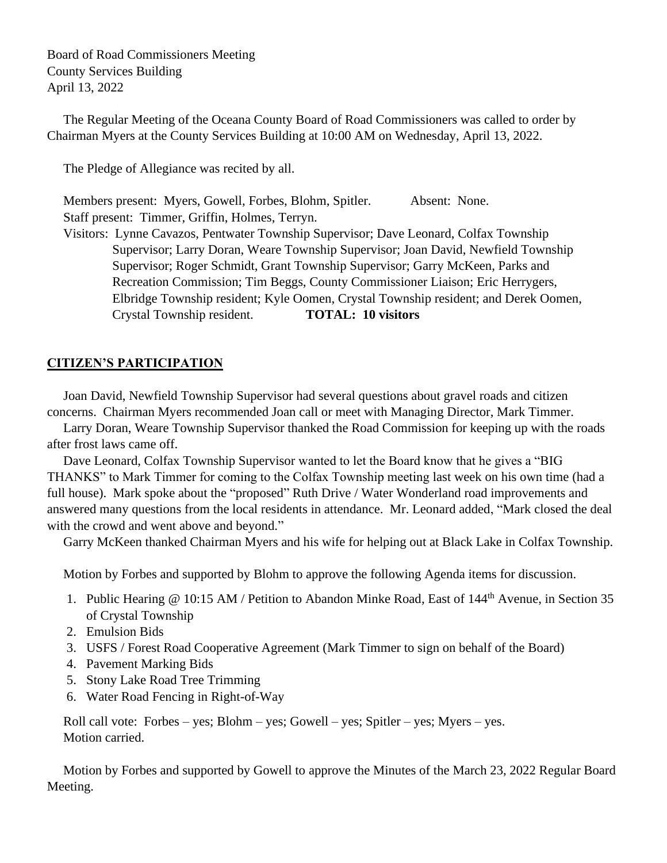Board of Road Commissioners Meeting County Services Building April 13, 2022

 The Regular Meeting of the Oceana County Board of Road Commissioners was called to order by Chairman Myers at the County Services Building at 10:00 AM on Wednesday, April 13, 2022.

The Pledge of Allegiance was recited by all.

Members present: Myers, Gowell, Forbes, Blohm, Spitler. Absent: None. Staff present: Timmer, Griffin, Holmes, Terryn.

 Visitors: Lynne Cavazos, Pentwater Township Supervisor; Dave Leonard, Colfax Township Supervisor; Larry Doran, Weare Township Supervisor; Joan David, Newfield Township Supervisor; Roger Schmidt, Grant Township Supervisor; Garry McKeen, Parks and Recreation Commission; Tim Beggs, County Commissioner Liaison; Eric Herrygers, Elbridge Township resident; Kyle Oomen, Crystal Township resident; and Derek Oomen, Crystal Township resident. **TOTAL: 10 visitors**

# **CITIZEN'S PARTICIPATION**

 Joan David, Newfield Township Supervisor had several questions about gravel roads and citizen concerns. Chairman Myers recommended Joan call or meet with Managing Director, Mark Timmer.

 Larry Doran, Weare Township Supervisor thanked the Road Commission for keeping up with the roads after frost laws came off.

 Dave Leonard, Colfax Township Supervisor wanted to let the Board know that he gives a "BIG THANKS" to Mark Timmer for coming to the Colfax Township meeting last week on his own time (had a full house). Mark spoke about the "proposed" Ruth Drive / Water Wonderland road improvements and answered many questions from the local residents in attendance. Mr. Leonard added, "Mark closed the deal with the crowd and went above and beyond."

Garry McKeen thanked Chairman Myers and his wife for helping out at Black Lake in Colfax Township.

Motion by Forbes and supported by Blohm to approve the following Agenda items for discussion.

- 1. Public Hearing @ 10:15 AM / Petition to Abandon Minke Road, East of 144<sup>th</sup> Avenue, in Section 35 of Crystal Township
- 2. Emulsion Bids
- 3. USFS / Forest Road Cooperative Agreement (Mark Timmer to sign on behalf of the Board)
- 4. Pavement Marking Bids
- 5. Stony Lake Road Tree Trimming
- 6. Water Road Fencing in Right-of-Way

 Roll call vote: Forbes – yes; Blohm – yes; Gowell – yes; Spitler – yes; Myers – yes. Motion carried.

Motion by Forbes and supported by Gowell to approve the Minutes of the March 23, 2022 Regular Board Meeting.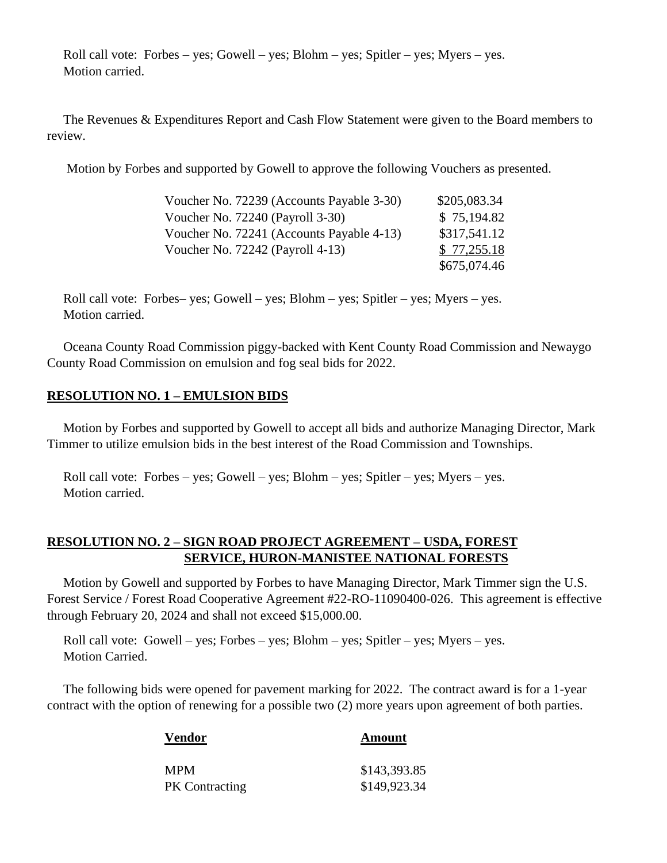Roll call vote: Forbes – yes; Gowell – yes; Blohm – yes; Spitler – yes; Myers – yes. Motion carried.

 The Revenues & Expenditures Report and Cash Flow Statement were given to the Board members to review.

Motion by Forbes and supported by Gowell to approve the following Vouchers as presented.

| Voucher No. 72239 (Accounts Payable 3-30) | \$205,083.34 |
|-------------------------------------------|--------------|
| Voucher No. 72240 (Payroll 3-30)          | \$75,194.82  |
| Voucher No. 72241 (Accounts Payable 4-13) | \$317,541.12 |
| Voucher No. $72242$ (Payroll 4-13)        | \$77,255.18  |
|                                           | \$675,074.46 |

 Roll call vote: Forbes– yes; Gowell – yes; Blohm – yes; Spitler – yes; Myers – yes. Motion carried.

 Oceana County Road Commission piggy-backed with Kent County Road Commission and Newaygo County Road Commission on emulsion and fog seal bids for 2022.

# **RESOLUTION NO. 1 – EMULSION BIDS**

 Motion by Forbes and supported by Gowell to accept all bids and authorize Managing Director, Mark Timmer to utilize emulsion bids in the best interest of the Road Commission and Townships.

 Roll call vote: Forbes – yes; Gowell – yes; Blohm – yes; Spitler – yes; Myers – yes. Motion carried.

# **RESOLUTION NO. 2 – SIGN ROAD PROJECT AGREEMENT – USDA, FOREST SERVICE, HURON-MANISTEE NATIONAL FORESTS**

 Motion by Gowell and supported by Forbes to have Managing Director, Mark Timmer sign the U.S. Forest Service / Forest Road Cooperative Agreement #22-RO-11090400-026. This agreement is effective through February 20, 2024 and shall not exceed \$15,000.00.

 Roll call vote: Gowell – yes; Forbes – yes; Blohm – yes; Spitler – yes; Myers – yes. Motion Carried.

 The following bids were opened for pavement marking for 2022. The contract award is for a 1-year contract with the option of renewing for a possible two (2) more years upon agreement of both parties.

| <b>Vendor</b>         | Amount       |
|-----------------------|--------------|
| <b>MPM</b>            | \$143,393.85 |
| <b>PK</b> Contracting | \$149,923.34 |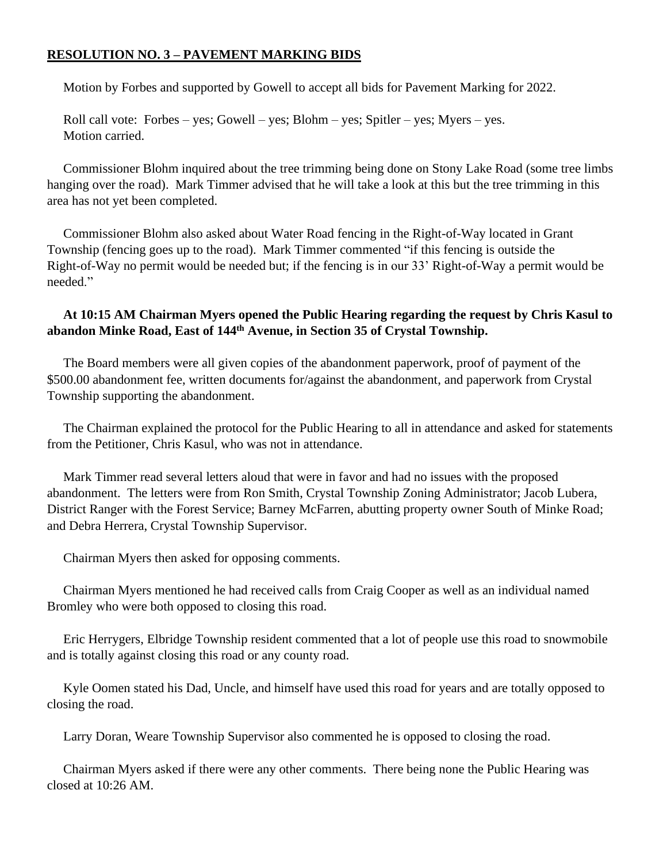### **RESOLUTION NO. 3 – PAVEMENT MARKING BIDS**

Motion by Forbes and supported by Gowell to accept all bids for Pavement Marking for 2022.

 Roll call vote: Forbes – yes; Gowell – yes; Blohm – yes; Spitler – yes; Myers – yes. Motion carried.

 Commissioner Blohm inquired about the tree trimming being done on Stony Lake Road (some tree limbs hanging over the road). Mark Timmer advised that he will take a look at this but the tree trimming in this area has not yet been completed.

 Commissioner Blohm also asked about Water Road fencing in the Right-of-Way located in Grant Township (fencing goes up to the road). Mark Timmer commented "if this fencing is outside the Right-of-Way no permit would be needed but; if the fencing is in our 33' Right-of-Way a permit would be needed."

### **At 10:15 AM Chairman Myers opened the Public Hearing regarding the request by Chris Kasul to abandon Minke Road, East of 144th Avenue, in Section 35 of Crystal Township.**

 The Board members were all given copies of the abandonment paperwork, proof of payment of the \$500.00 abandonment fee, written documents for/against the abandonment, and paperwork from Crystal Township supporting the abandonment.

 The Chairman explained the protocol for the Public Hearing to all in attendance and asked for statements from the Petitioner, Chris Kasul, who was not in attendance.

 Mark Timmer read several letters aloud that were in favor and had no issues with the proposed abandonment. The letters were from Ron Smith, Crystal Township Zoning Administrator; Jacob Lubera, District Ranger with the Forest Service; Barney McFarren, abutting property owner South of Minke Road; and Debra Herrera, Crystal Township Supervisor.

Chairman Myers then asked for opposing comments.

 Chairman Myers mentioned he had received calls from Craig Cooper as well as an individual named Bromley who were both opposed to closing this road.

 Eric Herrygers, Elbridge Township resident commented that a lot of people use this road to snowmobile and is totally against closing this road or any county road.

 Kyle Oomen stated his Dad, Uncle, and himself have used this road for years and are totally opposed to closing the road.

Larry Doran, Weare Township Supervisor also commented he is opposed to closing the road.

 Chairman Myers asked if there were any other comments. There being none the Public Hearing was closed at 10:26 AM.